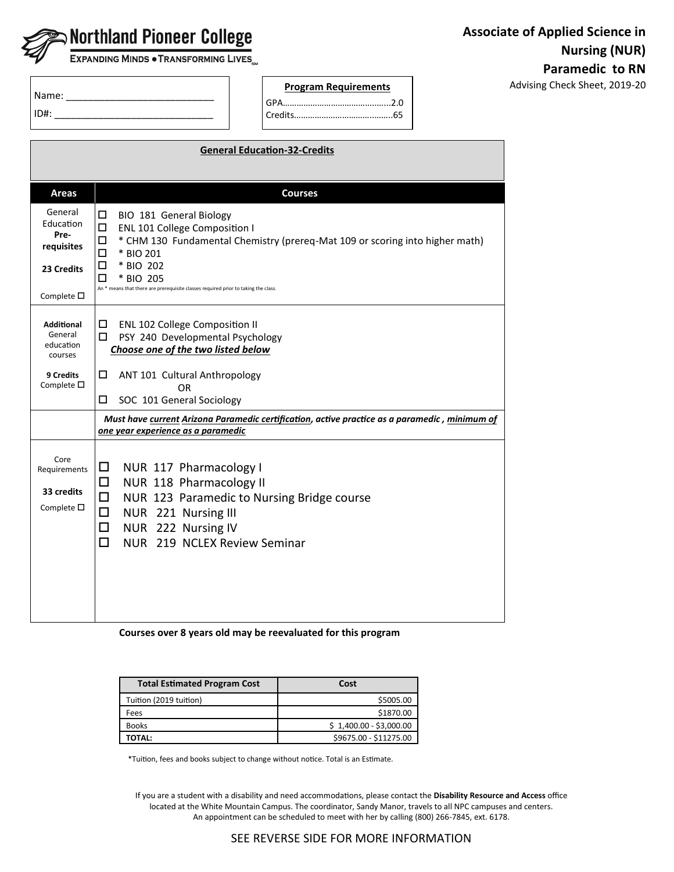

EXPANDING MINDS . TRANSFORMING LIVES

**Program Requirements Advising Check Sheet, 2019-20** 

| Name: |  |
|-------|--|
| D#:   |  |

Г

| <b>General Education-32-Credits</b>                                                            |                                                                                                                                                                                                                                                                                                          |  |
|------------------------------------------------------------------------------------------------|----------------------------------------------------------------------------------------------------------------------------------------------------------------------------------------------------------------------------------------------------------------------------------------------------------|--|
|                                                                                                |                                                                                                                                                                                                                                                                                                          |  |
| <b>Areas</b>                                                                                   | <b>Courses</b>                                                                                                                                                                                                                                                                                           |  |
| General<br>Education<br>Pre-<br>requisites<br>23 Credits<br>Complete $\square$                 | $\Box$<br>BIO 181 General Biology<br>□<br>ENL 101 College Composition I<br>* CHM 130 Fundamental Chemistry (prereq-Mat 109 or scoring into higher math)<br>□<br>□<br>* BIO 201<br>□<br>* BIO 202<br>п<br>* BIO 205<br>An * means that there are prerequisite classes required prior to taking the class. |  |
| <b>Additional</b><br>General<br>education<br>courses<br><b>9 Credits</b><br>Complete $\square$ | □<br><b>ENL 102 College Composition II</b><br>PSY 240 Developmental Psychology<br>□<br>Choose one of the two listed below<br>□<br>ANT 101 Cultural Anthropology<br>OR                                                                                                                                    |  |
|                                                                                                | □<br>SOC 101 General Sociology                                                                                                                                                                                                                                                                           |  |
|                                                                                                | Must have current Arizona Paramedic certification, active practice as a paramedic, minimum of<br>one year experience as a paramedic                                                                                                                                                                      |  |
| Core<br>Requirements<br>33 credits<br>Complete $\square$                                       | NUR 117 Pharmacology I<br>□<br>□<br>NUR 118 Pharmacology II<br>□<br>NUR 123 Paramedic to Nursing Bridge course<br>□<br>NUR 221 Nursing III<br>◻<br>NUR 222 Nursing IV<br>□<br>NUR 219 NCLEX Review Seminar                                                                                               |  |

GPA…………………………………..…...2.0 Credits……………………………..……..65

**Courses over 8 years old may be reevaluated for this program**

| <b>Total Estimated Program Cost</b> | Cost                    |
|-------------------------------------|-------------------------|
| Tuition (2019 tuition)              | \$5005.00               |
| Fees                                | \$1870.00               |
| <b>Books</b>                        | $$1,400.00 - $3,000.00$ |
| ΤΟΤΑΙ:                              | \$9675.00 - \$11275.00  |

\*Tuition, fees and books subject to change without notice. Total is an Estimate.

If you are a student with a disability and need accommodations, please contact the **Disability Resource and Access** office located at the White Mountain Campus. The coordinator, Sandy Manor, travels to all NPC campuses and centers. An appointment can be scheduled to meet with her by calling (800) 266-7845, ext. 6178.